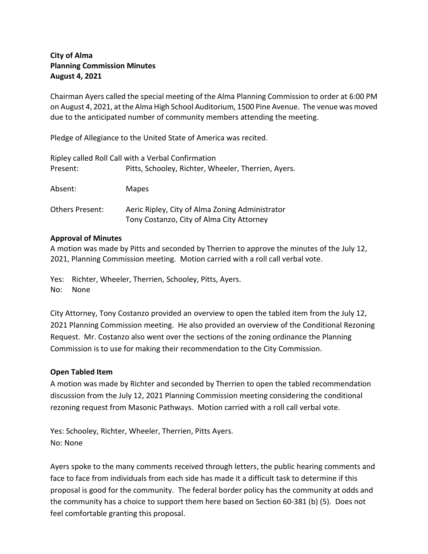# **City of Alma Planning Commission Minutes August 4, 2021**

Chairman Ayers called the special meeting of the Alma Planning Commission to order at 6:00 PM on August 4, 2021, at the Alma High School Auditorium, 1500 Pine Avenue. The venue was moved due to the anticipated number of community members attending the meeting.

Pledge of Allegiance to the United State of America was recited.

| Ripley called Roll Call with a Verbal Confirmation |                                                                                              |
|----------------------------------------------------|----------------------------------------------------------------------------------------------|
| Present:                                           | Pitts, Schooley, Richter, Wheeler, Therrien, Ayers.                                          |
| Absent:                                            | <b>Mapes</b>                                                                                 |
| <b>Others Present:</b>                             | Aeric Ripley, City of Alma Zoning Administrator<br>Tony Costanzo, City of Alma City Attorney |

### **Approval of Minutes**

A motion was made by Pitts and seconded by Therrien to approve the minutes of the July 12, 2021, Planning Commission meeting. Motion carried with a roll call verbal vote.

Yes: Richter, Wheeler, Therrien, Schooley, Pitts, Ayers. No: None

City Attorney, Tony Costanzo provided an overview to open the tabled item from the July 12, 2021 Planning Commission meeting. He also provided an overview of the Conditional Rezoning Request. Mr. Costanzo also went over the sections of the zoning ordinance the Planning Commission is to use for making their recommendation to the City Commission.

# **Open Tabled Item**

A motion was made by Richter and seconded by Therrien to open the tabled recommendation discussion from the July 12, 2021 Planning Commission meeting considering the conditional rezoning request from Masonic Pathways. Motion carried with a roll call verbal vote.

Yes: Schooley, Richter, Wheeler, Therrien, Pitts Ayers. No: None

Ayers spoke to the many comments received through letters, the public hearing comments and face to face from individuals from each side has made it a difficult task to determine if this proposal is good for the community. The federal border policy has the community at odds and the community has a choice to support them here based on Section 60-381 (b) (5). Does not feel comfortable granting this proposal.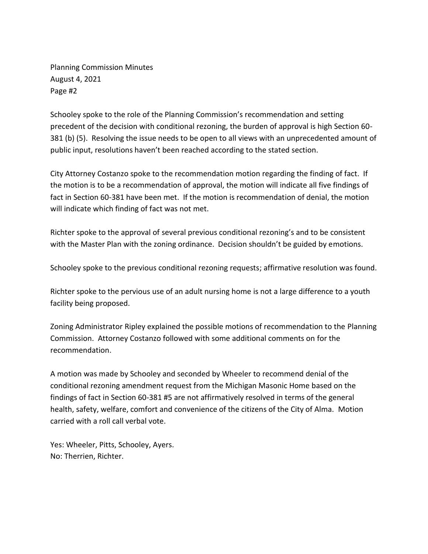Planning Commission Minutes August 4, 2021 Page #2

Schooley spoke to the role of the Planning Commission's recommendation and setting precedent of the decision with conditional rezoning, the burden of approval is high Section 60- 381 (b) (5). Resolving the issue needs to be open to all views with an unprecedented amount of public input, resolutions haven't been reached according to the stated section.

City Attorney Costanzo spoke to the recommendation motion regarding the finding of fact. If the motion is to be a recommendation of approval, the motion will indicate all five findings of fact in Section 60-381 have been met. If the motion is recommendation of denial, the motion will indicate which finding of fact was not met.

Richter spoke to the approval of several previous conditional rezoning's and to be consistent with the Master Plan with the zoning ordinance. Decision shouldn't be guided by emotions.

Schooley spoke to the previous conditional rezoning requests; affirmative resolution was found.

Richter spoke to the pervious use of an adult nursing home is not a large difference to a youth facility being proposed.

Zoning Administrator Ripley explained the possible motions of recommendation to the Planning Commission. Attorney Costanzo followed with some additional comments on for the recommendation.

A motion was made by Schooley and seconded by Wheeler to recommend denial of the conditional rezoning amendment request from the Michigan Masonic Home based on the findings of fact in Section 60-381 #5 are not affirmatively resolved in terms of the general health, safety, welfare, comfort and convenience of the citizens of the City of Alma. Motion carried with a roll call verbal vote.

Yes: Wheeler, Pitts, Schooley, Ayers. No: Therrien, Richter.